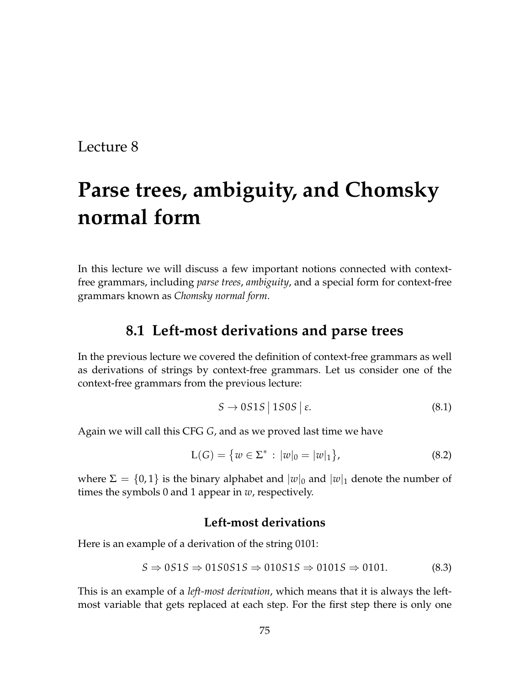# **Parse trees, ambiguity, and Chomsky normal form**

In this lecture we will discuss a few important notions connected with contextfree grammars, including *parse trees*, *ambiguity*, and a special form for context-free grammars known as *Chomsky normal form*.

### **8.1 Left-most derivations and parse trees**

In the previous lecture we covered the definition of context-free grammars as well as derivations of strings by context-free grammars. Let us consider one of the context-free grammars from the previous lecture:

<span id="page-0-1"></span>
$$
S \to 0S1S \mid 1S0S \mid \varepsilon. \tag{8.1}
$$

Again we will call this CFG *G*, and as we proved last time we have

<span id="page-0-2"></span>
$$
L(G) = \{ w \in \Sigma^* : |w|_0 = |w|_1 \},
$$
\n(8.2)

where  $\Sigma = \{0,1\}$  is the binary alphabet and  $|w|_0$  and  $|w|_1$  denote the number of times the symbols 0 and 1 appear in *w*, respectively.

#### **Left-most derivations**

Here is an example of a derivation of the string 0101:

<span id="page-0-0"></span>
$$
S \Rightarrow 0S1S \Rightarrow 01S0S1S \Rightarrow 010S1S \Rightarrow 0101S \Rightarrow 0101. \tag{8.3}
$$

This is an example of a *left-most derivation*, which means that it is always the leftmost variable that gets replaced at each step. For the first step there is only one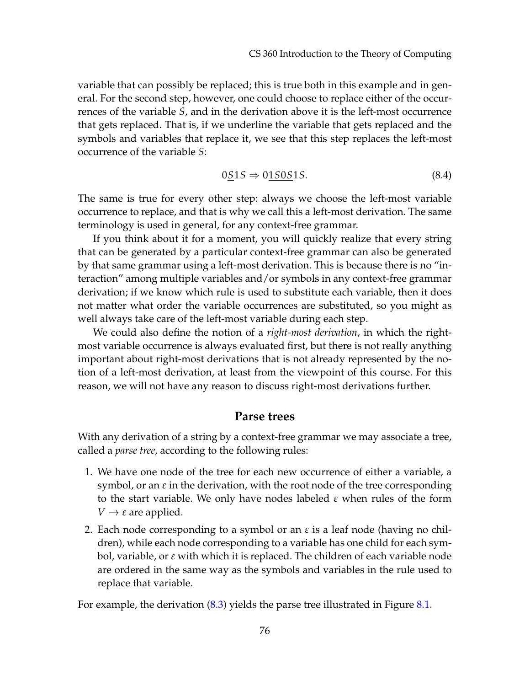variable that can possibly be replaced; this is true both in this example and in general. For the second step, however, one could choose to replace either of the occurrences of the variable *S*, and in the derivation above it is the left-most occurrence that gets replaced. That is, if we underline the variable that gets replaced and the symbols and variables that replace it, we see that this step replaces the left-most occurrence of the variable *S*:

$$
0\underline{S}1S \Rightarrow 0\underline{1S}0S1S. \tag{8.4}
$$

The same is true for every other step: always we choose the left-most variable occurrence to replace, and that is why we call this a left-most derivation. The same terminology is used in general, for any context-free grammar.

If you think about it for a moment, you will quickly realize that every string that can be generated by a particular context-free grammar can also be generated by that same grammar using a left-most derivation. This is because there is no "interaction" among multiple variables and/or symbols in any context-free grammar derivation; if we know which rule is used to substitute each variable, then it does not matter what order the variable occurrences are substituted, so you might as well always take care of the left-most variable during each step.

We could also define the notion of a *right-most derivation*, in which the rightmost variable occurrence is always evaluated first, but there is not really anything important about right-most derivations that is not already represented by the notion of a left-most derivation, at least from the viewpoint of this course. For this reason, we will not have any reason to discuss right-most derivations further.

#### **Parse trees**

With any derivation of a string by a context-free grammar we may associate a tree, called a *parse tree*, according to the following rules:

- 1. We have one node of the tree for each new occurrence of either a variable, a symbol, or an *ε* in the derivation, with the root node of the tree corresponding to the start variable. We only have nodes labeled *ε* when rules of the form  $V \rightarrow \varepsilon$  are applied.
- 2. Each node corresponding to a symbol or an *ε* is a leaf node (having no children), while each node corresponding to a variable has one child for each symbol, variable, or *ε* with which it is replaced. The children of each variable node are ordered in the same way as the symbols and variables in the rule used to replace that variable.

For example, the derivation  $(8.3)$  yields the parse tree illustrated in Figure  $8.1$ .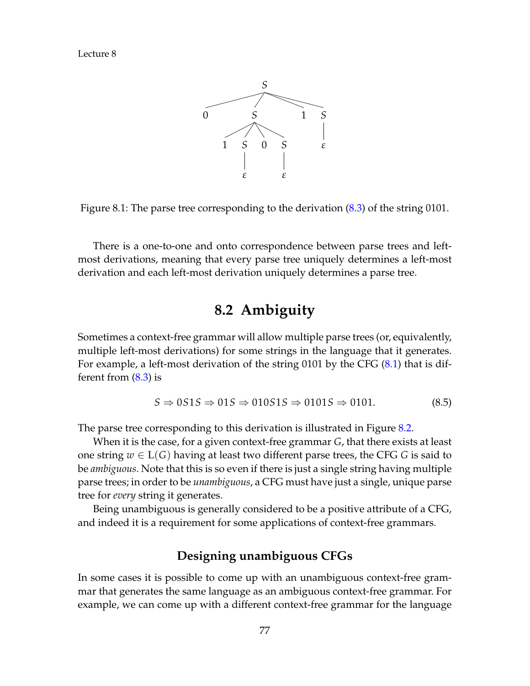

<span id="page-2-0"></span>Figure 8.1: The parse tree corresponding to the derivation [\(8.3\)](#page-0-0) of the string 0101.

There is a one-to-one and onto correspondence between parse trees and leftmost derivations, meaning that every parse tree uniquely determines a left-most derivation and each left-most derivation uniquely determines a parse tree.

## **8.2 Ambiguity**

Sometimes a context-free grammar will allow multiple parse trees (or, equivalently, multiple left-most derivations) for some strings in the language that it generates. For example, a left-most derivation of the string 0101 by the CFG [\(8.1\)](#page-0-1) that is different from [\(8.3\)](#page-0-0) is

<span id="page-2-1"></span>
$$
S \Rightarrow 0S1S \Rightarrow 01S \Rightarrow 010S1S \Rightarrow 0101S \Rightarrow 0101. \tag{8.5}
$$

The parse tree corresponding to this derivation is illustrated in Figure [8.2.](#page-3-0)

When it is the case, for a given context-free grammar *G*, that there exists at least one string  $w ∈ L(G)$  having at least two different parse trees, the CFG *G* is said to be *ambiguous*. Note that this is so even if there is just a single string having multiple parse trees; in order to be *unambiguous*, a CFG must have just a single, unique parse tree for *every* string it generates.

Being unambiguous is generally considered to be a positive attribute of a CFG, and indeed it is a requirement for some applications of context-free grammars.

### **Designing unambiguous CFGs**

In some cases it is possible to come up with an unambiguous context-free grammar that generates the same language as an ambiguous context-free grammar. For example, we can come up with a different context-free grammar for the language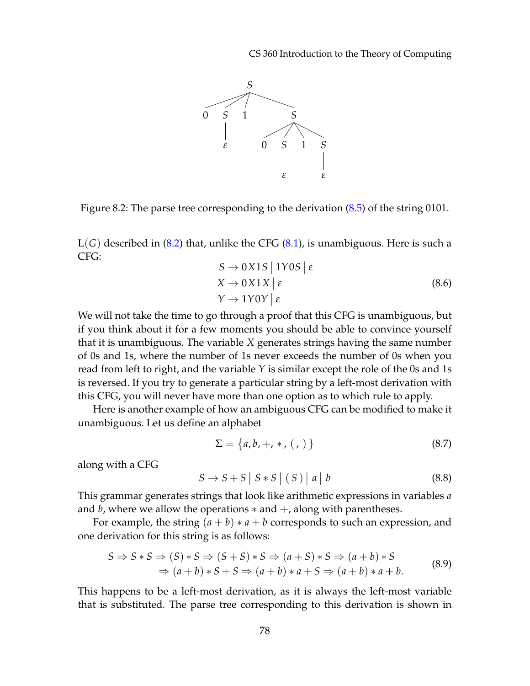CS 360 Introduction to the Theory of Computing



<span id="page-3-0"></span>Figure 8.2: The parse tree corresponding to the derivation [\(8.5\)](#page-2-1) of the string 0101.

L(*G*) described in [\(8.2\)](#page-0-2) that, unlike the CFG [\(8.1\)](#page-0-1), is unambiguous. Here is such a CFG:

$$
S \to 0X1S \mid 1Y0S \mid \varepsilon
$$
  
\n
$$
X \to 0X1X \mid \varepsilon
$$
  
\n
$$
Y \to 1Y0Y \mid \varepsilon
$$
\n(8.6)

We will not take the time to go through a proof that this CFG is unambiguous, but if you think about it for a few moments you should be able to convince yourself that it is unambiguous. The variable *X* generates strings having the same number of 0s and 1s, where the number of 1s never exceeds the number of 0s when you read from left to right, and the variable *Y* is similar except the role of the 0s and 1s is reversed. If you try to generate a particular string by a left-most derivation with this CFG, you will never have more than one option as to which rule to apply.

Here is another example of how an ambiguous CFG can be modified to make it unambiguous. Let us define an alphabet

$$
\Sigma = \{a, b, +, *, (,) \}
$$
 (8.7)

along with a CFG

<span id="page-3-2"></span> $S \to S + S | S * S | (S) | a |$  $|b \t(8.8)$ 

This grammar generates strings that look like arithmetic expressions in variables *a* and *b*, where we allow the operations  $*$  and  $+$ , along with parentheses.

For example, the string  $(a + b) * a + b$  corresponds to such an expression, and one derivation for this string is as follows:

<span id="page-3-1"></span>
$$
S \Rightarrow S*S \Rightarrow (S) * S \Rightarrow (S+S) * S \Rightarrow (a+S) * S \Rightarrow (a+b) * S
$$
  

$$
\Rightarrow (a+b) * S + S \Rightarrow (a+b) * a + S \Rightarrow (a+b) * a + b.
$$
(8.9)

This happens to be a left-most derivation, as it is always the left-most variable that is substituted. The parse tree corresponding to this derivation is shown in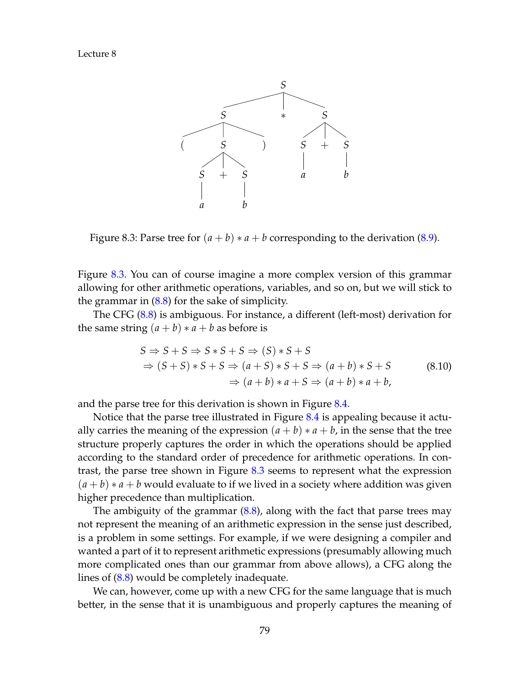

<span id="page-4-0"></span>Figure 8.3: Parse tree for  $(a + b) * a + b$  corresponding to the derivation [\(8.9\)](#page-3-1).

Figure [8.3.](#page-4-0) You can of course imagine a more complex version of this grammar allowing for other arithmetic operations, variables, and so on, but we will stick to the grammar in  $(8.8)$  for the sake of simplicity.

The CFG [\(8.8\)](#page-3-2) is ambiguous. For instance, a different (left-most) derivation for the same string  $(a + b) * a + b$  as before is

<span id="page-4-1"></span>
$$
S \Rightarrow S + S \Rightarrow S * S + S \Rightarrow (S) * S + S
$$
  
\n
$$
\Rightarrow (S + S) * S + S \Rightarrow (a + S) * S + S \Rightarrow (a + b) * S + S
$$
  
\n
$$
\Rightarrow (a + b) * a + S \Rightarrow (a + b) * a + b,
$$
\n(8.10)

and the parse tree for this derivation is shown in Figure [8.4.](#page-5-0)

Notice that the parse tree illustrated in Figure [8.4](#page-5-0) is appealing because it actually carries the meaning of the expression  $(a + b) * a + b$ , in the sense that the tree structure properly captures the order in which the operations should be applied according to the standard order of precedence for arithmetic operations. In contrast, the parse tree shown in Figure [8.3](#page-4-0) seems to represent what the expression  $(a + b) * a + b$  would evaluate to if we lived in a society where addition was given higher precedence than multiplication.

The ambiguity of the grammar  $(8.8)$ , along with the fact that parse trees may not represent the meaning of an arithmetic expression in the sense just described, is a problem in some settings. For example, if we were designing a compiler and wanted a part of it to represent arithmetic expressions (presumably allowing much more complicated ones than our grammar from above allows), a CFG along the lines of [\(8.8\)](#page-3-2) would be completely inadequate.

We can, however, come up with a new CFG for the same language that is much better, in the sense that it is unambiguous and properly captures the meaning of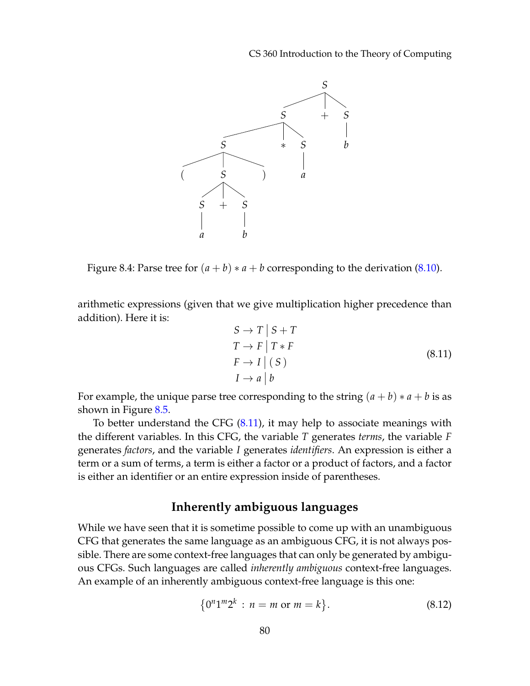CS 360 Introduction to the Theory of Computing



<span id="page-5-0"></span>Figure 8.4: Parse tree for  $(a + b) * a + b$  corresponding to the derivation [\(8.10\)](#page-4-1).

arithmetic expressions (given that we give multiplication higher precedence than addition). Here it is:

<span id="page-5-1"></span>
$$
S \to T \mid S + T
$$
  
\n
$$
T \to F \mid T * F
$$
  
\n
$$
F \to I \mid (S)
$$
  
\n
$$
I \to a \mid b
$$
  
\n(8.11)

For example, the unique parse tree corresponding to the string  $(a + b) * a + b$  is as shown in Figure [8.5.](#page-6-0)

To better understand the CFG [\(8.11\)](#page-5-1), it may help to associate meanings with the different variables. In this CFG, the variable *T* generates *terms*, the variable *F* generates *factors*, and the variable *I* generates *identifiers*. An expression is either a term or a sum of terms, a term is either a factor or a product of factors, and a factor is either an identifier or an entire expression inside of parentheses.

#### **Inherently ambiguous languages**

While we have seen that it is sometime possible to come up with an unambiguous CFG that generates the same language as an ambiguous CFG, it is not always possible. There are some context-free languages that can only be generated by ambiguous CFGs. Such languages are called *inherently ambiguous* context-free languages. An example of an inherently ambiguous context-free language is this one:

$$
\{0^n 1^m 2^k : n = m \text{ or } m = k\}.
$$
 (8.12)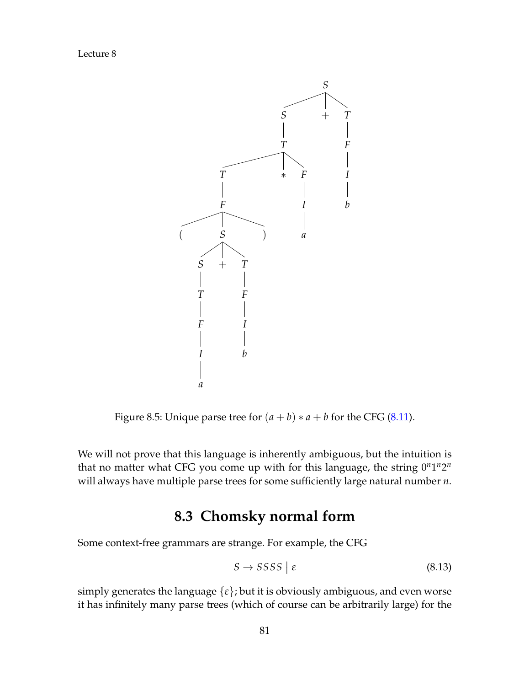

<span id="page-6-0"></span>Figure 8.5: Unique parse tree for  $(a + b) * a + b$  for the CFG [\(8.11\)](#page-5-1).

We will not prove that this language is inherently ambiguous, but the intuition is that no matter what CFG you come up with for this language, the string  $0^n1^n2^n$ will always have multiple parse trees for some sufficiently large natural number *n*.

## **8.3 Chomsky normal form**

Some context-free grammars are strange. For example, the CFG

$$
S \to SSSS \mid \varepsilon \tag{8.13}
$$

simply generates the language  $\{\varepsilon\}$ ; but it is obviously ambiguous, and even worse it has infinitely many parse trees (which of course can be arbitrarily large) for the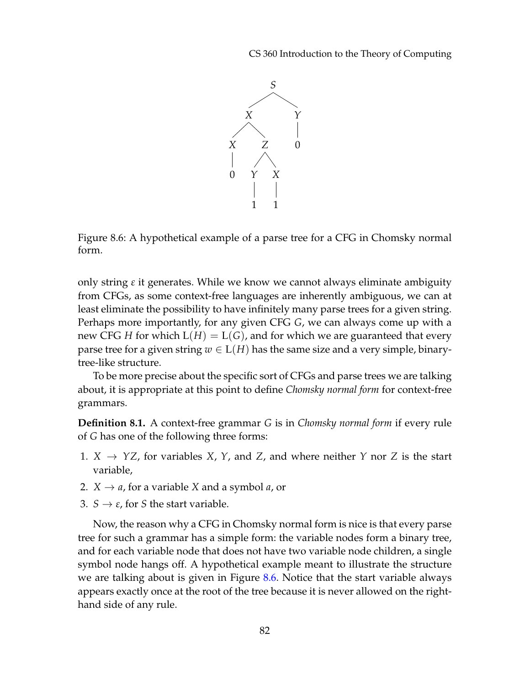CS 360 Introduction to the Theory of Computing



<span id="page-7-0"></span>Figure 8.6: A hypothetical example of a parse tree for a CFG in Chomsky normal form.

only string *ε* it generates. While we know we cannot always eliminate ambiguity from CFGs, as some context-free languages are inherently ambiguous, we can at least eliminate the possibility to have infinitely many parse trees for a given string. Perhaps more importantly, for any given CFG *G*, we can always come up with a new CFG *H* for which  $L(H) = L(G)$ , and for which we are guaranteed that every parse tree for a given string  $w \in L(H)$  has the same size and a very simple, binarytree-like structure.

To be more precise about the specific sort of CFGs and parse trees we are talking about, it is appropriate at this point to define *Chomsky normal form* for context-free grammars.

**Definition 8.1.** A context-free grammar *G* is in *Chomsky normal form* if every rule of *G* has one of the following three forms:

- 1.  $X \rightarrow YZ$ , for variables *X*, *Y*, and *Z*, and where neither *Y* nor *Z* is the start variable,
- 2.  $X \rightarrow a$ , for a variable *X* and a symbol *a*, or
- 3. *S*  $\rightarrow$  *ε*, for *S* the start variable.

Now, the reason why a CFG in Chomsky normal form is nice is that every parse tree for such a grammar has a simple form: the variable nodes form a binary tree, and for each variable node that does not have two variable node children, a single symbol node hangs off. A hypothetical example meant to illustrate the structure we are talking about is given in Figure [8.6.](#page-7-0) Notice that the start variable always appears exactly once at the root of the tree because it is never allowed on the righthand side of any rule.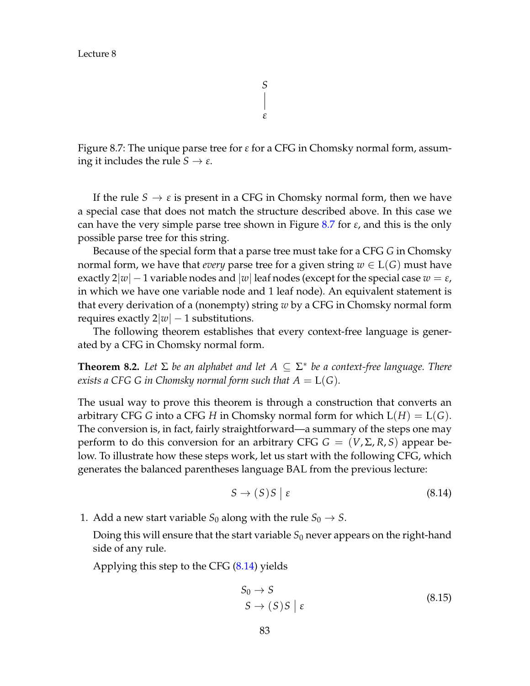<span id="page-8-0"></span>Figure 8.7: The unique parse tree for *ε* for a CFG in Chomsky normal form, assuming it includes the rule  $S \to \varepsilon$ .

If the rule  $S \to \varepsilon$  is present in a CFG in Chomsky normal form, then we have a special case that does not match the structure described above. In this case we can have the very simple parse tree shown in Figure [8.7](#page-8-0) for *ε*, and this is the only possible parse tree for this string.

Because of the special form that a parse tree must take for a CFG *G* in Chomsky normal form, we have that *every* parse tree for a given string  $w \in L(G)$  must have exactly  $2|w| - 1$  variable nodes and  $|w|$  leaf nodes (except for the special case  $w = \varepsilon$ , in which we have one variable node and 1 leaf node). An equivalent statement is that every derivation of a (nonempty) string *w* by a CFG in Chomsky normal form requires exactly  $2|w| - 1$  substitutions.

The following theorem establishes that every context-free language is generated by a CFG in Chomsky normal form.

<span id="page-8-3"></span>**Theorem 8.2.** Let  $\Sigma$  be an alphabet and let  $A \subseteq \Sigma^*$  be a context-free language. There *exists a CFG G in Chomsky normal form such that*  $A = L(G)$ *.* 

The usual way to prove this theorem is through a construction that converts an arbitrary CFG *G* into a CFG *H* in Chomsky normal form for which  $L(H) = L(G)$ . The conversion is, in fact, fairly straightforward—a summary of the steps one may perform to do this conversion for an arbitrary CFG  $G = (V, \Sigma, R, S)$  appear below. To illustrate how these steps work, let us start with the following CFG, which generates the balanced parentheses language BAL from the previous lecture:

<span id="page-8-1"></span>
$$
S \to (S)S \mid \varepsilon \tag{8.14}
$$

1. Add a new start variable  $S_0$  along with the rule  $S_0 \rightarrow S$ .

Doing this will ensure that the start variable  $S_0$  never appears on the right-hand side of any rule.

Applying this step to the CFG [\(8.14\)](#page-8-1) yields

<span id="page-8-2"></span>
$$
S_0 \to S
$$
  
\n
$$
S \to (S)S \mid \varepsilon
$$
\n(8.15)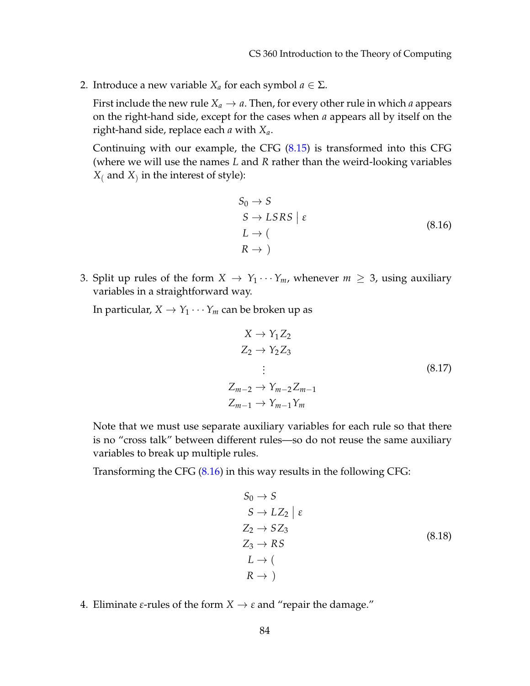2. Introduce a new variable  $X_a$  for each symbol  $a \in \Sigma$ .

First include the new rule  $X_a \rightarrow a$ . Then, for every other rule in which *a* appears on the right-hand side, except for the cases when *a* appears all by itself on the right-hand side, replace each *a* with *Xa*.

Continuing with our example, the CFG [\(8.15\)](#page-8-2) is transformed into this CFG (where we will use the names *L* and *R* rather than the weird-looking variables  $X_{(}$  and  $X_{)}$  in the interest of style):

<span id="page-9-0"></span>
$$
S_0 \to S
$$
  
\n
$$
S \to LSRS \mid \varepsilon
$$
  
\n
$$
L \to (\text{R} \to \text{)}
$$
 (8.16)

3. Split up rules of the form  $X \to Y_1 \cdots Y_m$ , whenever  $m \geq 3$ , using auxiliary variables in a straightforward way.

In particular,  $X \to Y_1 \cdots Y_m$  can be broken up as

$$
X \rightarrow Y_1 Z_2
$$
  
\n
$$
Z_2 \rightarrow Y_2 Z_3
$$
  
\n
$$
\vdots
$$
  
\n
$$
Z_{m-2} \rightarrow Y_{m-2} Z_{m-1}
$$
  
\n
$$
Z_{m-1} \rightarrow Y_{m-1} Y_m
$$
  
\n(8.17)

Note that we must use separate auxiliary variables for each rule so that there is no "cross talk" between different rules—so do not reuse the same auxiliary variables to break up multiple rules.

Transforming the CFG [\(8.16\)](#page-9-0) in this way results in the following CFG:

<span id="page-9-1"></span>
$$
S_0 \to S
$$
  
\n
$$
S \to LZ_2 \mid \varepsilon
$$
  
\n
$$
Z_2 \to SZ_3
$$
  
\n
$$
Z_3 \to RS
$$
  
\n
$$
L \to (\mathbb{R} \to)
$$
  
\n(8.18)

4. Eliminate  $\varepsilon$ -rules of the form  $X \to \varepsilon$  and "repair the damage."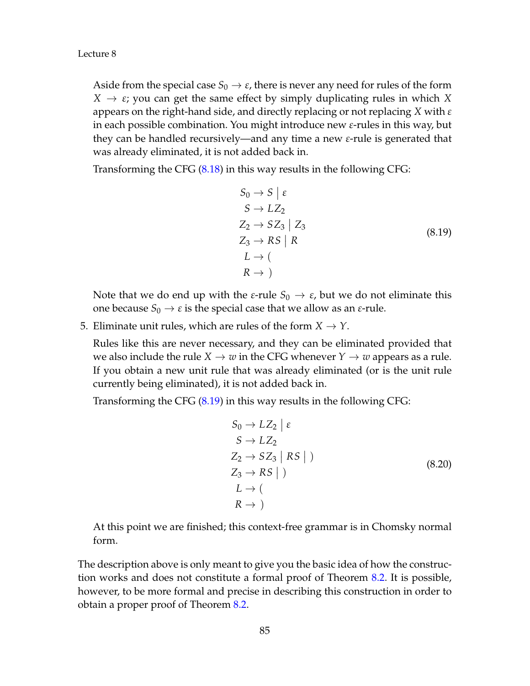Aside from the special case  $S_0 \rightarrow \varepsilon$ , there is never any need for rules of the form  $X \to \varepsilon$ ; you can get the same effect by simply duplicating rules in which X appears on the right-hand side, and directly replacing or not replacing *X* with *ε* in each possible combination. You might introduce new *ε*-rules in this way, but they can be handled recursively—and any time a new *ε*-rule is generated that was already eliminated, it is not added back in.

Transforming the CFG [\(8.18\)](#page-9-1) in this way results in the following CFG:

<span id="page-10-0"></span>
$$
S_0 \rightarrow S \mid \varepsilon
$$
  
\n
$$
S \rightarrow LZ_2
$$
  
\n
$$
Z_2 \rightarrow SZ_3 \mid Z_3
$$
  
\n
$$
Z_3 \rightarrow RS \mid R
$$
  
\n
$$
L \rightarrow (\text{ } R \rightarrow)
$$
  
\n(8.19)

Note that we do end up with the *ε*-rule  $S_0 \rightarrow \varepsilon$ , but we do not eliminate this one because  $S_0 \rightarrow \varepsilon$  is the special case that we allow as an  $\varepsilon$ -rule.

5. Eliminate unit rules, which are rules of the form  $X \to Y$ .

Rules like this are never necessary, and they can be eliminated provided that we also include the rule  $X \to w$  in the CFG whenever  $Y \to w$  appears as a rule. If you obtain a new unit rule that was already eliminated (or is the unit rule currently being eliminated), it is not added back in.

Transforming the CFG [\(8.19\)](#page-10-0) in this way results in the following CFG:

$$
S_0 \to LZ_2 \mid \varepsilon
$$
  
\n
$$
S \to LZ_2
$$
  
\n
$$
Z_2 \to SZ_3 \mid RS \mid)
$$
  
\n
$$
Z_3 \to RS \mid)
$$
  
\n
$$
L \to (\nR \to)
$$
  
\n(8.20)

At this point we are finished; this context-free grammar is in Chomsky normal form.

The description above is only meant to give you the basic idea of how the construction works and does not constitute a formal proof of Theorem [8.2.](#page-8-3) It is possible, however, to be more formal and precise in describing this construction in order to obtain a proper proof of Theorem [8.2.](#page-8-3)